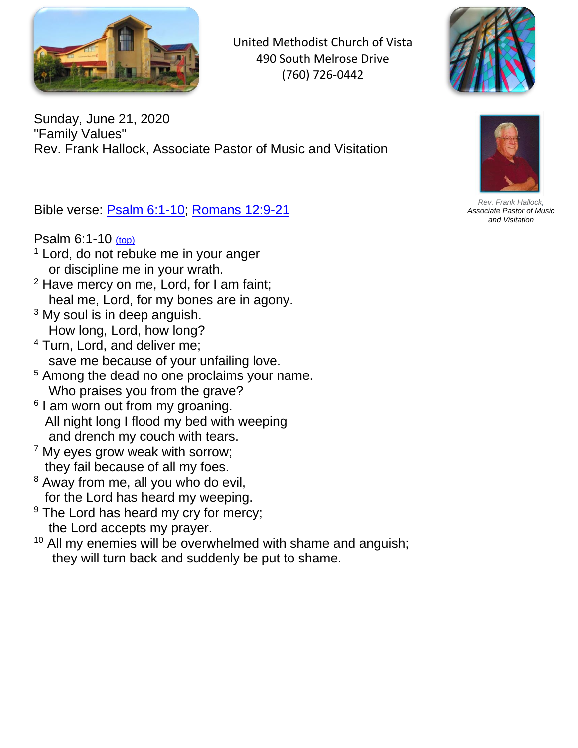

United Methodist Church of Vista 490 South Melrose Drive (760) 726-0442



Sunday, June 21, 2020 "Family Values" Rev. Frank Hallock, Associate Pastor of Music and Visitation

<span id="page-0-1"></span>Bible verse: [Psalm 6:1-10;](#page-0-0) [Romans 12:9-21](#page-1-0)

<span id="page-0-0"></span>Psalm 6:1-10 [\(top\)](#page-0-1)

- $1$  Lord, do not rebuke me in your anger or discipline me in your wrath.
- $2$  Have mercy on me, Lord, for I am faint; heal me, Lord, for my bones are in agony.
- <sup>3</sup> My soul is in deep anguish. How long, Lord, how long?
- <sup>4</sup> Turn, Lord, and deliver me; save me because of your unfailing love.
- <sup>5</sup> Among the dead no one proclaims your name. Who praises you from the grave?
- <sup>6</sup> I am worn out from my groaning. All night long I flood my bed with weeping and drench my couch with tears.
- <sup>7</sup> My eyes grow weak with sorrow; they fail because of all my foes.
- <sup>8</sup> Away from me, all you who do evil, for the Lord has heard my weeping.
- <sup>9</sup> The Lord has heard my cry for mercy; the Lord accepts my prayer.
- <sup>10</sup> All my enemies will be overwhelmed with shame and anguish; they will turn back and suddenly be put to shame.



*Rev. Frank Hallock, Associate Pastor of Music and Visitation*